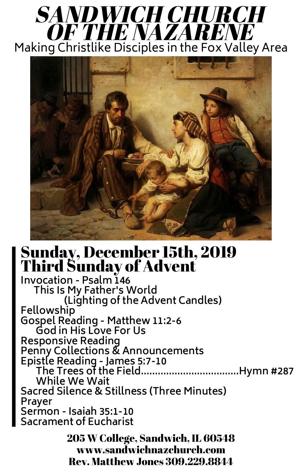## Sunday, December 15th, 2019 Third Sunday of Advent

**Invocation - Psalm 146 This Is My Father's World (Lighting of the Advent Candles) Fellowship Gospel Reading - Matthew 11:2-6 God in His Love For Us Responsive Reading Penny Collections & Announcements Epistle Reading - James 5:7-10 The Trees of the Field...................................Hymn #287 While We Wait Sacred Silence & Stillness (Three Minutes) Prayer Sermon - Isaiah 35:1-10 Sacrament of Eucharist** 205 W College, Sandwich, IL 60548 www.sandwichnazchurch.com Rev. Matthew Jones 309.229.8844

## SANDWICH CHURCH OF THE NAZARENE Making Christlike Disciples in the Fox Valley Area